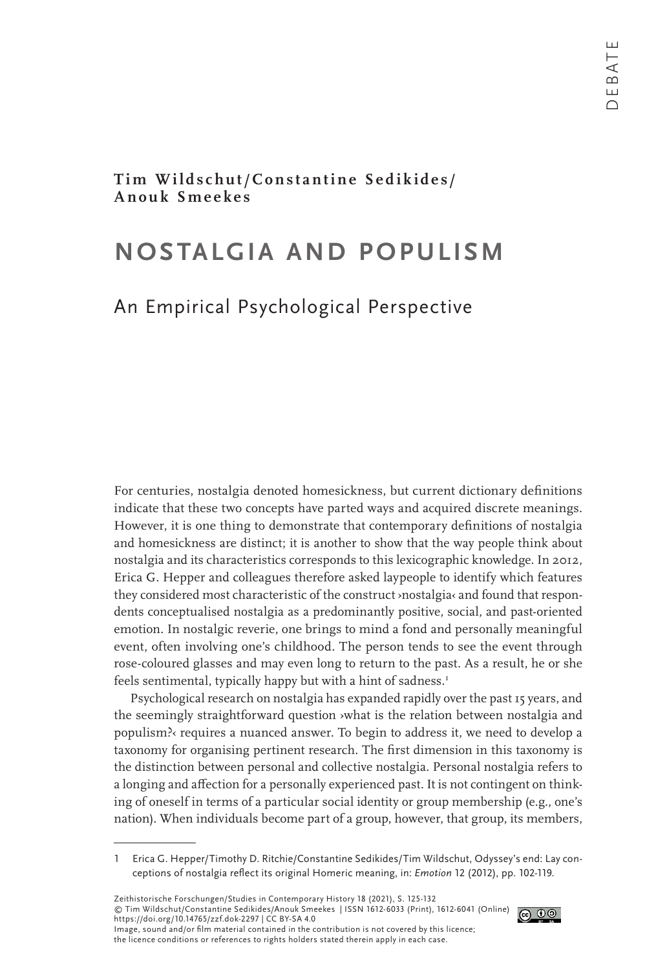**Tim Wildschut/Constantine Sedikides/ Anouk Smeekes**

# **NOSTALGIA AND POPULISM**

## An Empirical Psychological Perspective

For centuries, nostalgia denoted homesickness, but current dictionary definitions indicate that these two concepts have parted ways and acquired discrete meanings. However, it is one thing to demonstrate that contemporary definitions of nostalgia and homesickness are distinct; it is another to show that the way people think about nostalgia and its characteristics corresponds to this lexicographic knowledge. In 2012, Erica G. Hepper and colleagues therefore asked laypeople to identify which features they considered most characteristic of the construct >nostalgia< and found that respondents conceptualised nostalgia as a predominantly positive, social, and past-oriented emotion. In nostalgic reverie, one brings to mind a fond and personally meaningful event, often involving one's childhood. The person tends to see the event through rose-coloured glasses and may even long to return to the past. As a result, he or she feels sentimental, typically happy but with a hint of sadness.<sup>1</sup>

Psychological research on nostalgia has expanded rapidly over the past 15 years, and the seemingly straightforward question ›what is the relation between nostalgia and populism?‹ requires a nuanced answer. To begin to address it, we need to develop a taxonomy for organising pertinent research. The first dimension in this taxonomy is the distinction between personal and collective nostalgia. Personal nostalgia refers to a longing and affection for a personally experienced past. It is not contingent on thinking of oneself in terms of a particular social identity or group membership (e.g., one's nation). When individuals become part of a group, however, that group, its members,

Zeithistorische Forschungen/Studies in Contemporary History 18 (2021), S. 125-132 © Tim Wildschut/Constantine Sedikides/Anouk Smeekes | ISSN 1612-6033 (Print), 1612-6041 (Online) https://doi.org/10.14765/zzf.dok-2297 | CC BY-SA 4.0 Image, sound and/or film material contained in the contribution is not covered by this licence; the licence conditions or references to rights holders stated therein apply in each case.



<sup>1</sup> Erica G. Hepper/Timothy D. Ritchie/Constantine Sedikides/Tim Wildschut, Odyssey's end: Lay conceptions of nostalgia reflect its original Homeric meaning, in: *Emotion* 12 (2012), pp. 102-119.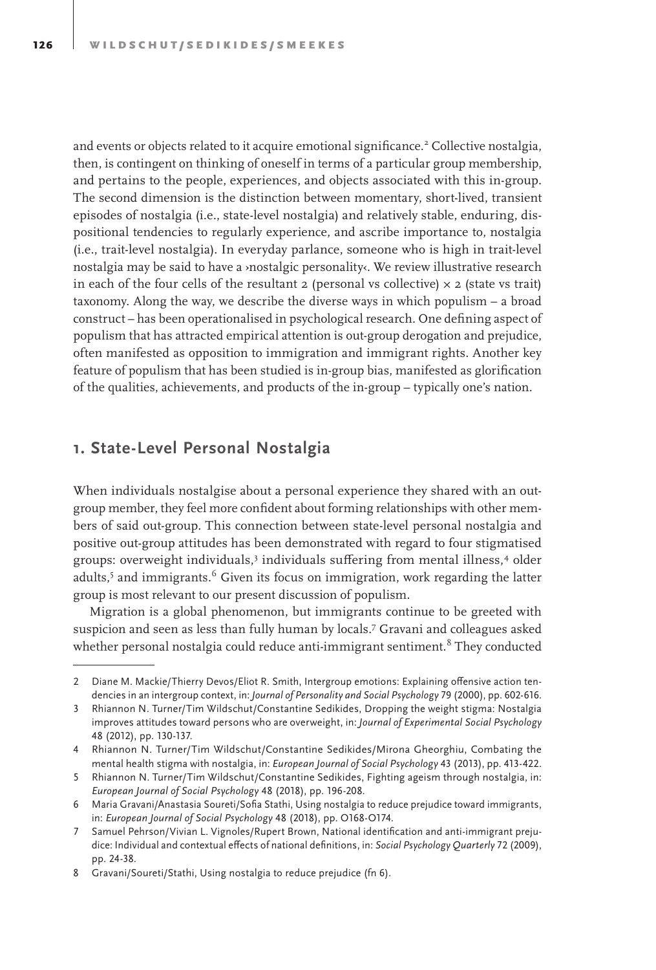and events or objects related to it acquire emotional significance.<sup>2</sup> Collective nostalgia, then, is contingent on thinking of oneself in terms of a particular group membership, and pertains to the people, experiences, and objects associated with this in-group. The second dimension is the distinction between momentary, short-lived, transient episodes of nostalgia (i.e., state-level nostalgia) and relatively stable, enduring, dispositional tendencies to regularly experience, and ascribe importance to, nostalgia (i.e., trait-level nostalgia). In everyday parlance, someone who is high in trait-level nostalgia may be said to have a ›nostalgic personality‹. We review illustrative research in each of the four cells of the resultant 2 (personal vs collective)  $\times$  2 (state vs trait) taxonomy. Along the way, we describe the diverse ways in which populism – a broad construct – has been operationalised in psychological research. One defining aspect of populism that has attracted empirical attention is out-group derogation and prejudice, often manifested as opposition to immigration and immigrant rights. Another key feature of populism that has been studied is in-group bias, manifested as glorification of the qualities, achievements, and products of the in-group – typically one's nation.

### **1. State-Level Personal Nostalgia**

When individuals nostalgise about a personal experience they shared with an outgroup member, they feel more confident about forming relationships with other members of said out-group. This connection between state-level personal nostalgia and positive out-group attitudes has been demonstrated with regard to four stigmatised groups: overweight individuals,<sup>3</sup> individuals suffering from mental illness,<sup>4</sup> older adults,<sup>5</sup> and immigrants.<sup>6</sup> Given its focus on immigration, work regarding the latter group is most relevant to our present discussion of populism.

Migration is a global phenomenon, but immigrants continue to be greeted with suspicion and seen as less than fully human by locals.<sup>7</sup> Gravani and colleagues asked whether personal nostalgia could reduce anti-immigrant sentiment.<sup>8</sup> They conducted

<sup>2</sup> Diane M. Mackie/Thierry Devos/Eliot R. Smith, Intergroup emotions: Explaining offensive action tendencies in an intergroup context, in: *Journal of Personality and Social Psychology* 79 (2000), pp. 602-616.

<sup>3</sup> Rhiannon N. Turner/Tim Wildschut/Constantine Sedikides, Dropping the weight stigma: Nostalgia improves attitudes toward persons who are overweight, in: *Journal of Experimental Social Psychology*  48 (2012), pp. 130-137.

<sup>4</sup> Rhiannon N. Turner/Tim Wildschut/Constantine Sedikides/Mirona Gheorghiu, Combating the mental health stigma with nostalgia, in: *European Journal of Social Psychology* 43 (2013), pp. 413-422.

<sup>5</sup> Rhiannon N. Turner/Tim Wildschut/Constantine Sedikides, Fighting ageism through nostalgia, in: *European Journal of Social Psychology* 48 (2018), pp. 196-208.

<sup>6</sup> Maria Gravani/Anastasia Soureti/Sofia Stathi, Using nostalgia to reduce prejudice toward immigrants, in: *European Journal of Social Psychology* 48 (2018), pp. O168-O174.

<sup>7</sup> Samuel Pehrson/Vivian L. Vignoles/Rupert Brown, National identification and anti-immigrant prejudice: Individual and contextual effects of national definitions, in: *Social Psychology Quarterly* 72 (2009), pp. 24-38.

<sup>8</sup> Gravani/Soureti/Stathi, Using nostalgia to reduce prejudice (fn 6).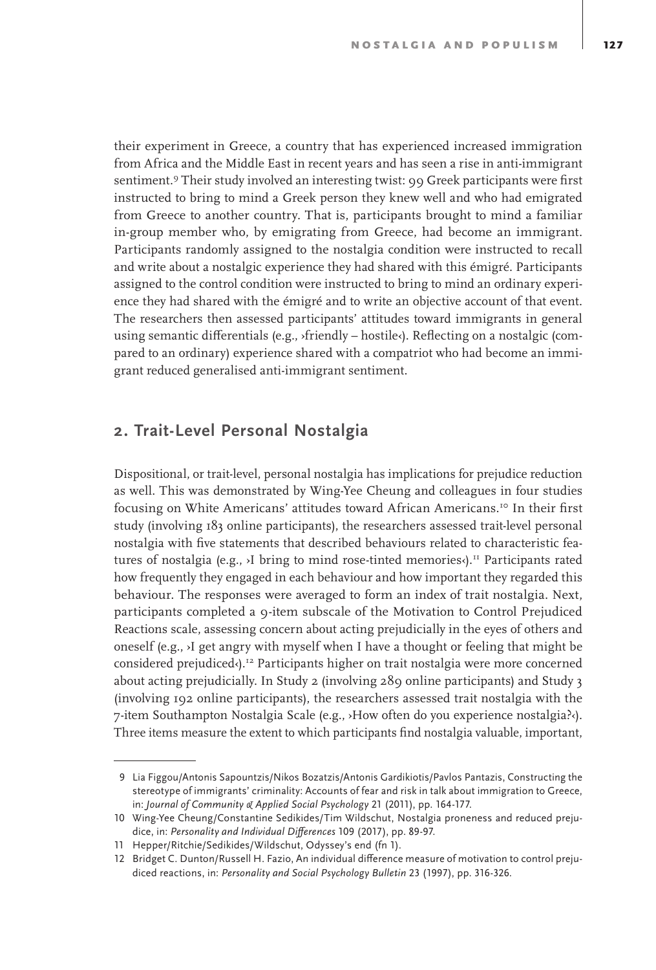their experiment in Greece, a country that has experienced increased immigration from Africa and the Middle East in recent years and has seen a rise in anti-immigrant sentiment.9 Their study involved an interesting twist: 99 Greek participants were first instructed to bring to mind a Greek person they knew well and who had emigrated from Greece to another country. That is, participants brought to mind a familiar in-group member who, by emigrating from Greece, had become an immigrant. Participants randomly assigned to the nostalgia condition were instructed to recall and write about a nostalgic experience they had shared with this émigré. Participants assigned to the control condition were instructed to bring to mind an ordinary experience they had shared with the émigré and to write an objective account of that event. The researchers then assessed participants' attitudes toward immigrants in general using semantic differentials (e.g., ›friendly – hostile‹). Reflecting on a nostalgic (compared to an ordinary) experience shared with a compatriot who had become an immigrant reduced generalised anti-immigrant sentiment.

### **2. Trait-Level Personal Nostalgia**

Dispositional, or trait-level, personal nostalgia has implications for prejudice reduction as well. This was demonstrated by Wing-Yee Cheung and colleagues in four studies focusing on White Americans' attitudes toward African Americans.<sup>10</sup> In their first study (involving 183 online participants), the researchers assessed trait-level personal nostalgia with five statements that described behaviours related to characteristic features of nostalgia (e.g.,  $\lambda$ I bring to mind rose-tinted memories $\lambda$ ).<sup>11</sup> Participants rated how frequently they engaged in each behaviour and how important they regarded this behaviour. The responses were averaged to form an index of trait nostalgia. Next, participants completed a 9-item subscale of the Motivation to Control Prejudiced Reactions scale, assessing concern about acting prejudicially in the eyes of others and oneself (e.g., ›I get angry with myself when I have a thought or feeling that might be considered prejudiced $\zeta$ .<sup>12</sup> Participants higher on trait nostalgia were more concerned about acting prejudicially. In Study 2 (involving 289 online participants) and Study 3 (involving 192 online participants), the researchers assessed trait nostalgia with the 7-item Southampton Nostalgia Scale (e.g., ›How often do you experience nostalgia?‹). Three items measure the extent to which participants find nostalgia valuable, important,

 <sup>9</sup> Lia Figgou/Antonis Sapountzis/Nikos Bozatzis/Antonis Gardikiotis/Pavlos Pantazis, Constructing the stereotype of immigrants' criminality: Accounts of fear and risk in talk about immigration to Greece, in: *Journal of Community & Applied Social Psychology* 21 (2011), pp. 164-177.

<sup>10</sup> Wing-Yee Cheung/Constantine Sedikides/Tim Wildschut, Nostalgia proneness and reduced prejudice, in: *Personality and Individual Differences* 109 (2017), pp. 89-97.

<sup>11</sup> Hepper/Ritchie/Sedikides/Wildschut, Odyssey's end (fn 1).

<sup>12</sup> Bridget C. Dunton/Russell H. Fazio, An individual difference measure of motivation to control prejudiced reactions, in: *Personality and Social Psychology Bulletin* 23 (1997), pp. 316-326.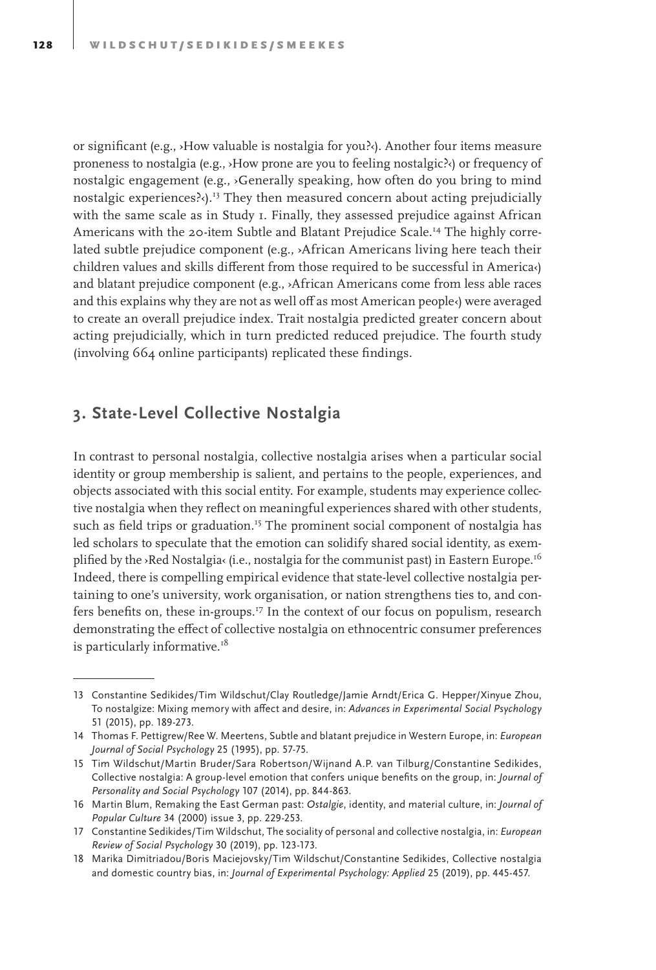or significant (e.g., ›How valuable is nostalgia for you?‹). Another four items measure proneness to nostalgia (e.g., ›How prone are you to feeling nostalgic?‹) or frequency of nostalgic engagement (e.g., ›Generally speaking, how often do you bring to mind nostalgic experiences? $\cdot$ ).<sup>13</sup> They then measured concern about acting prejudicially with the same scale as in Study 1. Finally, they assessed prejudice against African Americans with the 20-item Subtle and Blatant Prejudice Scale.<sup>14</sup> The highly correlated subtle prejudice component (e.g., ›African Americans living here teach their children values and skills different from those required to be successful in America‹) and blatant prejudice component (e.g., ›African Americans come from less able races and this explains why they are not as well off as most American people‹) were averaged to create an overall prejudice index. Trait nostalgia predicted greater concern about acting prejudicially, which in turn predicted reduced prejudice. The fourth study (involving 664 online participants) replicated these findings.

#### **3. State-Level Collective Nostalgia**

In contrast to personal nostalgia, collective nostalgia arises when a particular social identity or group membership is salient, and pertains to the people, experiences, and objects associated with this social entity. For example, students may experience collective nostalgia when they reflect on meaningful experiences shared with other students, such as field trips or graduation.<sup>15</sup> The prominent social component of nostalgia has led scholars to speculate that the emotion can solidify shared social identity, as exemplified by the ›Red Nostalgia‹ (i.e., nostalgia for the communist past) in Eastern Europe.<sup>16</sup> Indeed, there is compelling empirical evidence that state-level collective nostalgia pertaining to one's university, work organisation, or nation strengthens ties to, and confers benefits on, these in-groups.<sup>17</sup> In the context of our focus on populism, research demonstrating the effect of collective nostalgia on ethnocentric consumer preferences is particularly informative.<sup>18</sup>

<sup>13</sup> Constantine Sedikides/Tim Wildschut/Clay Routledge/Jamie Arndt/Erica G. Hepper/Xinyue Zhou, To nostalgize: Mixing memory with affect and desire, in: *Advances in Experimental Social Psychology* 51 (2015), pp. 189-273.

<sup>14</sup> Thomas F. Pettigrew/Ree W. Meertens, Subtle and blatant prejudice in Western Europe, in: *European Journal of Social Psychology* 25 (1995), pp. 57-75.

<sup>15</sup> Tim Wildschut/Martin Bruder/Sara Robertson/Wijnand A.P. van Tilburg/Constantine Sedikides, Collective nostalgia: A group-level emotion that confers unique benefits on the group, in: *Journal of Personality and Social Psychology* 107 (2014), pp. 844-863.

<sup>16</sup> Martin Blum, Remaking the East German past: *Ostalgie*, identity, and material culture, in: *Journal of Popular Culture* 34 (2000) issue 3, pp. 229-253.

<sup>17</sup> Constantine Sedikides/Tim Wildschut, The sociality of personal and collective nostalgia, in: *European Review of Social Psychology* 30 (2019), pp. 123-173.

<sup>18</sup> Marika Dimitriadou/Boris Maciejovsky/Tim Wildschut/Constantine Sedikides, Collective nostalgia and domestic country bias, in: *Journal of Experimental Psychology: Applied* 25 (2019), pp. 445-457.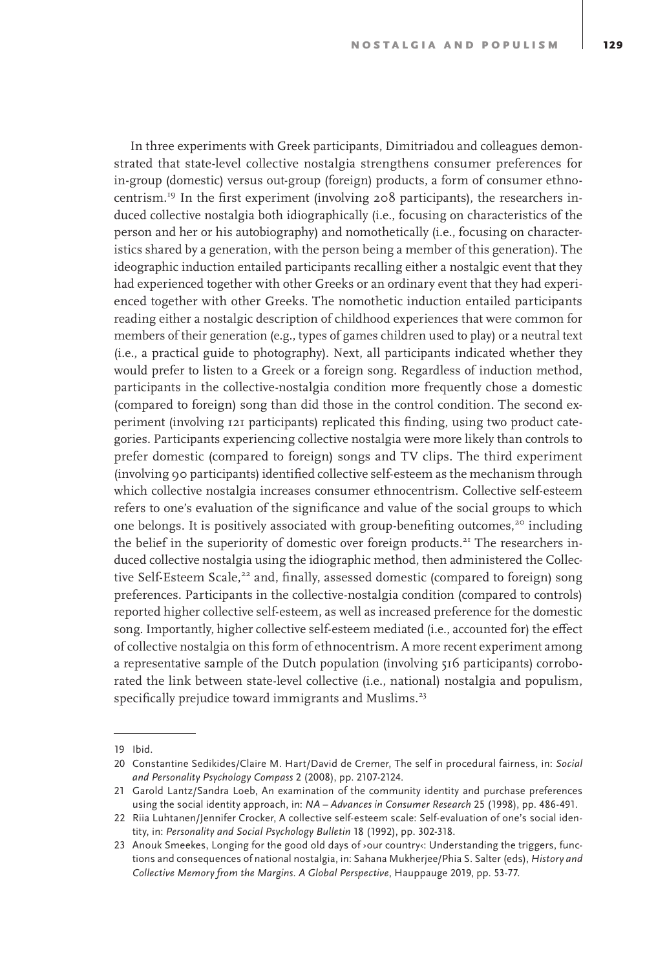In three experiments with Greek participants, Dimitriadou and colleagues demonstrated that state-level collective nostalgia strengthens consumer preferences for in-group (domestic) versus out-group (foreign) products, a form of consumer ethnocentrism.19 In the first experiment (involving 208 participants), the researchers induced collective nostalgia both idiographically (i.e., focusing on characteristics of the person and her or his autobiography) and nomothetically (i.e., focusing on characteristics shared by a generation, with the person being a member of this generation). The ideographic induction entailed participants recalling either a nostalgic event that they had experienced together with other Greeks or an ordinary event that they had experienced together with other Greeks. The nomothetic induction entailed participants reading either a nostalgic description of childhood experiences that were common for members of their generation (e.g., types of games children used to play) or a neutral text (i.e., a practical guide to photography). Next, all participants indicated whether they would prefer to listen to a Greek or a foreign song. Regardless of induction method, participants in the collective-nostalgia condition more frequently chose a domestic (compared to foreign) song than did those in the control condition. The second experiment (involving 121 participants) replicated this finding, using two product categories. Participants experiencing collective nostalgia were more likely than controls to prefer domestic (compared to foreign) songs and TV clips. The third experiment (involving 90 participants) identified collective self-esteem as the mechanism through which collective nostalgia increases consumer ethnocentrism. Collective self-esteem refers to one's evaluation of the significance and value of the social groups to which one belongs. It is positively associated with group-benefiting outcomes,<sup>20</sup> including the belief in the superiority of domestic over foreign products.<sup>21</sup> The researchers induced collective nostalgia using the idiographic method, then administered the Collective Self-Esteem Scale,<sup>22</sup> and, finally, assessed domestic (compared to foreign) song preferences. Participants in the collective-nostalgia condition (compared to controls) reported higher collective self-esteem, as well as increased preference for the domestic song. Importantly, higher collective self-esteem mediated (i.e., accounted for) the effect of collective nostalgia on this form of ethnocentrism. A more recent experiment among a representative sample of the Dutch population (involving 516 participants) corroborated the link between state-level collective (i.e., national) nostalgia and populism, specifically prejudice toward immigrants and Muslims.<sup>23</sup>

<sup>19</sup> Ibid.

<sup>20</sup> Constantine Sedikides/Claire M. Hart/David de Cremer, The self in procedural fairness, in: *Social and Personality Psychology Compass* 2 (2008), pp. 2107-2124.

<sup>21</sup> Garold Lantz/Sandra Loeb, An examination of the community identity and purchase preferences using the social identity approach, in: *NA – Advances in Consumer Research* 25 (1998), pp. 486-491.

<sup>22</sup> Riia Luhtanen/Jennifer Crocker, A collective self-esteem scale: Self-evaluation of one's social identity, in: *Personality and Social Psychology Bulletin* 18 (1992), pp. 302-318.

<sup>23</sup> Anouk Smeekes, Longing for the good old days of ›our country‹: Understanding the triggers, functions and consequences of national nostalgia, in: Sahana Mukherjee/Phia S. Salter (eds), *History and Collective Memory from the Margins. A Global Perspective*, Hauppauge 2019, pp. 53-77.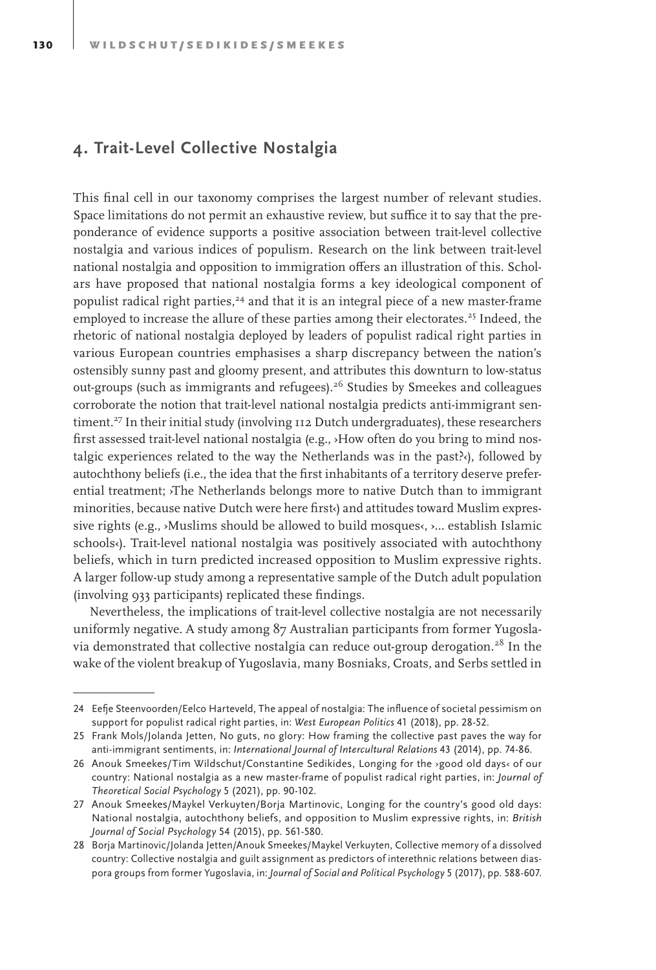### **4. Trait-Level Collective Nostalgia**

This final cell in our taxonomy comprises the largest number of relevant studies. Space limitations do not permit an exhaustive review, but suffice it to say that the preponderance of evidence supports a positive association between trait-level collective nostalgia and various indices of populism. Research on the link between trait-level national nostalgia and opposition to immigration offers an illustration of this. Scholars have proposed that national nostalgia forms a key ideological component of populist radical right parties,<sup>24</sup> and that it is an integral piece of a new master-frame employed to increase the allure of these parties among their electorates.<sup>25</sup> Indeed, the rhetoric of national nostalgia deployed by leaders of populist radical right parties in various European countries emphasises a sharp discrepancy between the nation's ostensibly sunny past and gloomy present, and attributes this downturn to low-status out-groups (such as immigrants and refugees).<sup>26</sup> Studies by Smeekes and colleagues corroborate the notion that trait-level national nostalgia predicts anti-immigrant sentiment.<sup>27</sup> In their initial study (involving 112 Dutch undergraduates), these researchers first assessed trait-level national nostalgia (e.g., ›How often do you bring to mind nostalgic experiences related to the way the Netherlands was in the past? $\langle \cdot \rangle$ , followed by autochthony beliefs (i.e., the idea that the first inhabitants of a territory deserve preferential treatment; ›The Netherlands belongs more to native Dutch than to immigrant minorities, because native Dutch were here first and attitudes toward Muslim expressive rights (e.g., >Muslims should be allowed to build mosques<, >... establish Islamic schools<). Trait-level national nostalgia was positively associated with autochthony beliefs, which in turn predicted increased opposition to Muslim expressive rights. A larger follow-up study among a representative sample of the Dutch adult population (involving 933 participants) replicated these findings.

Nevertheless, the implications of trait-level collective nostalgia are not necessarily uniformly negative. A study among 87 Australian participants from former Yugoslavia demonstrated that collective nostalgia can reduce out-group derogation.<sup>28</sup> In the wake of the violent breakup of Yugoslavia, many Bosniaks, Croats, and Serbs settled in

<sup>24</sup> Eefje Steenvoorden/Eelco Harteveld, The appeal of nostalgia: The influence of societal pessimism on support for populist radical right parties, in: *West European Politics* 41 (2018), pp. 28-52.

<sup>25</sup> Frank Mols/Jolanda Jetten, No guts, no glory: How framing the collective past paves the way for anti-immigrant sentiments, in: *International Journal of Intercultural Relations* 43 (2014), pp. 74-86.

<sup>26</sup> Anouk Smeekes/Tim Wildschut/Constantine Sedikides, Longing for the ›good old days‹ of our country: National nostalgia as a new master-frame of populist radical right parties, in: *Journal of Theoretical Social Psychology* 5 (2021), pp. 90-102.

<sup>27</sup> Anouk Smeekes/Maykel Verkuyten/Borja Martinovic, Longing for the country's good old days: National nostalgia, autochthony beliefs, and opposition to Muslim expressive rights, in: *British Journal of Social Psychology* 54 (2015), pp. 561-580.

<sup>28</sup> Borja Martinovic/Jolanda Jetten/Anouk Smeekes/Maykel Verkuyten, Collective memory of a dissolved country: Collective nostalgia and guilt assignment as predictors of interethnic relations between diaspora groups from former Yugoslavia, in: *Journal of Social and Political Psychology* 5 (2017), pp. 588-607.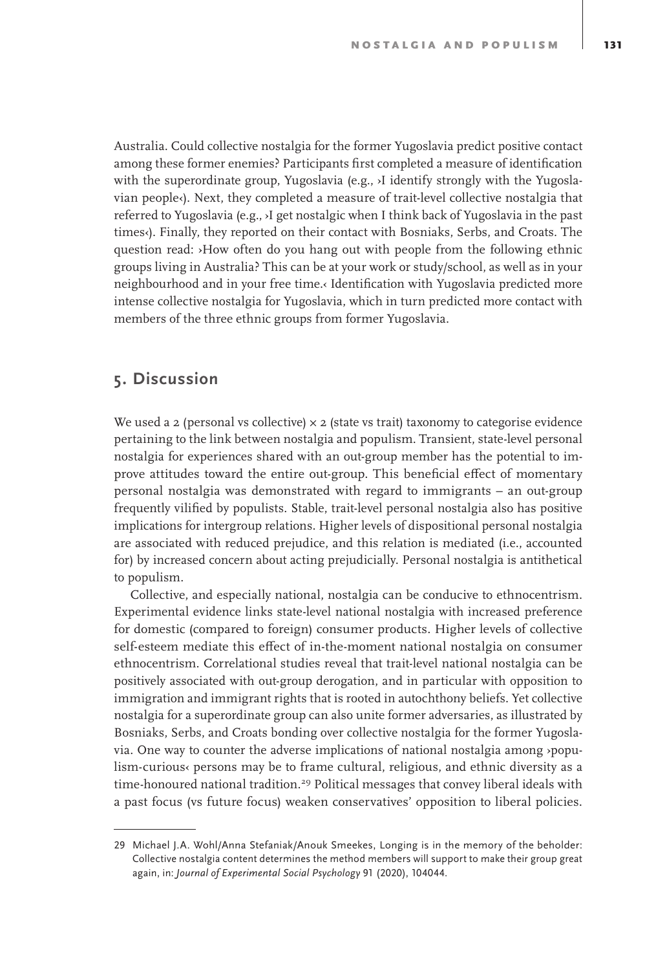Australia. Could collective nostalgia for the former Yugoslavia predict positive contact among these former enemies? Participants first completed a measure of identification with the superordinate group, Yugoslavia (e.g., ›I identify strongly with the Yugoslavian people‹). Next, they completed a measure of trait-level collective nostalgia that referred to Yugoslavia (e.g., ›I get nostalgic when I think back of Yugoslavia in the past times‹). Finally, they reported on their contact with Bosniaks, Serbs, and Croats. The question read: ›How often do you hang out with people from the following ethnic groups living in Australia? This can be at your work or study/school, as well as in your neighbourhood and in your free time.‹ Identification with Yugoslavia predicted more intense collective nostalgia for Yugoslavia, which in turn predicted more contact with members of the three ethnic groups from former Yugoslavia.

#### **5. Discussion**

We used a 2 (personal vs collective)  $\times$  2 (state vs trait) taxonomy to categorise evidence pertaining to the link between nostalgia and populism. Transient, state-level personal nostalgia for experiences shared with an out-group member has the potential to improve attitudes toward the entire out-group. This beneficial effect of momentary personal nostalgia was demonstrated with regard to immigrants – an out-group frequently vilified by populists. Stable, trait-level personal nostalgia also has positive implications for intergroup relations. Higher levels of dispositional personal nostalgia are associated with reduced prejudice, and this relation is mediated (i.e., accounted for) by increased concern about acting prejudicially. Personal nostalgia is antithetical to populism.

Collective, and especially national, nostalgia can be conducive to ethnocentrism. Experimental evidence links state-level national nostalgia with increased preference for domestic (compared to foreign) consumer products. Higher levels of collective self-esteem mediate this effect of in-the-moment national nostalgia on consumer ethnocentrism. Correlational studies reveal that trait-level national nostalgia can be positively associated with out-group derogation, and in particular with opposition to immigration and immigrant rights that is rooted in autochthony beliefs. Yet collective nostalgia for a superordinate group can also unite former adversaries, as illustrated by Bosniaks, Serbs, and Croats bonding over collective nostalgia for the former Yugoslavia. One way to counter the adverse implications of national nostalgia among ›populism-curious‹ persons may be to frame cultural, religious, and ethnic diversity as a time-honoured national tradition.29 Political messages that convey liberal ideals with a past focus (vs future focus) weaken conservatives' opposition to liberal policies.

<sup>29</sup> Michael J.A. Wohl/Anna Stefaniak/Anouk Smeekes, Longing is in the memory of the beholder: Collective nostalgia content determines the method members will support to make their group great again, in: *Journal of Experimental Social Psychology* 91 (2020), 104044.